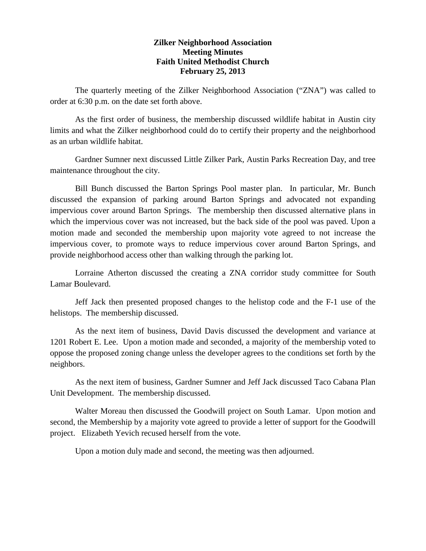## **Zilker Neighborhood Association Meeting Minutes Faith United Methodist Church February 25, 2013**

The quarterly meeting of the Zilker Neighborhood Association ("ZNA") was called to order at 6:30 p.m. on the date set forth above.

As the first order of business, the membership discussed wildlife habitat in Austin city limits and what the Zilker neighborhood could do to certify their property and the neighborhood as an urban wildlife habitat.

Gardner Sumner next discussed Little Zilker Park, Austin Parks Recreation Day, and tree maintenance throughout the city.

Bill Bunch discussed the Barton Springs Pool master plan. In particular, Mr. Bunch discussed the expansion of parking around Barton Springs and advocated not expanding impervious cover around Barton Springs. The membership then discussed alternative plans in which the impervious cover was not increased, but the back side of the pool was paved. Upon a motion made and seconded the membership upon majority vote agreed to not increase the impervious cover, to promote ways to reduce impervious cover around Barton Springs, and provide neighborhood access other than walking through the parking lot.

Lorraine Atherton discussed the creating a ZNA corridor study committee for South Lamar Boulevard.

Jeff Jack then presented proposed changes to the helistop code and the F-1 use of the helistops. The membership discussed.

As the next item of business, David Davis discussed the development and variance at 1201 Robert E. Lee. Upon a motion made and seconded, a majority of the membership voted to oppose the proposed zoning change unless the developer agrees to the conditions set forth by the neighbors.

As the next item of business, Gardner Sumner and Jeff Jack discussed Taco Cabana Plan Unit Development. The membership discussed.

Walter Moreau then discussed the Goodwill project on South Lamar. Upon motion and second, the Membership by a majority vote agreed to provide a letter of support for the Goodwill project. Elizabeth Yevich recused herself from the vote.

Upon a motion duly made and second, the meeting was then adjourned.